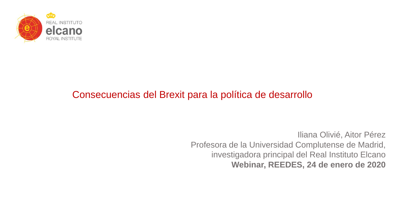

# Consecuencias del Brexit para la política de desarrollo

Iliana Olivié, Aitor Pérez Profesora de la Universidad Complutense de Madrid, investigadora principal del Real Instituto Elcano **Webinar, REEDES, 24 de enero de 2020**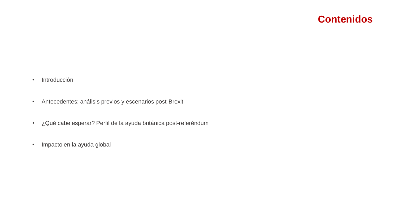#### **Contenidos**

- Introducción
- Antecedentes: análisis previos y escenarios post-Brexit
- ¿Qué cabe esperar? Perfil de la ayuda británica post-referéndum
- Impacto en la ayuda global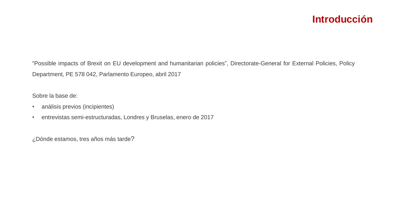## **Introducción**

"Possible impacts of Brexit on EU development and humanitarian policies", Directorate-General for External Policies, Policy Department, PE 578 042, Parlamento Europeo, abril 2017

Sobre la base de:

- análisis previos (incipientes)
- entrevistas semi-estructuradas, Londres y Bruselas, enero de 2017

¿Dónde estamos, tres años más tarde?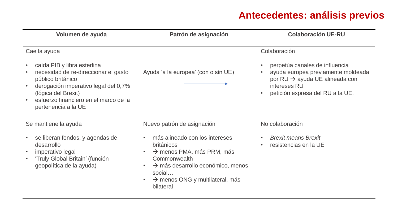# **Antecedentes: análisis previos**

| Volumen de ayuda                                                                                                                                                                                                                     | Patrón de asignación                                                                                                                                                                                                                                                                    | <b>Colaboración UE-RU</b>                                                                                                                                                            |
|--------------------------------------------------------------------------------------------------------------------------------------------------------------------------------------------------------------------------------------|-----------------------------------------------------------------------------------------------------------------------------------------------------------------------------------------------------------------------------------------------------------------------------------------|--------------------------------------------------------------------------------------------------------------------------------------------------------------------------------------|
| Cae la ayuda                                                                                                                                                                                                                         |                                                                                                                                                                                                                                                                                         | Colaboración                                                                                                                                                                         |
| caída PIB y libra esterlina<br>$\bullet$<br>necesidad de re-direccionar el gasto<br>público británico<br>derogación imperativo legal del 0,7%<br>(lógica del Brexit)<br>esfuerzo financiero en el marco de la<br>pertenencia a la UE | Ayuda 'a la europea' (con o sin UE)                                                                                                                                                                                                                                                     | perpetúa canales de influencia<br>$\bullet$<br>ayuda europea previamente moldeada<br>por RU → ayuda UE alineada con<br>intereses RU<br>petición expresa del RU a la UE.<br>$\bullet$ |
| Se mantiene la ayuda                                                                                                                                                                                                                 | Nuevo patrón de asignación                                                                                                                                                                                                                                                              | No colaboración                                                                                                                                                                      |
| se liberan fondos, y agendas de<br>desarrollo<br>imperativo legal<br>$\bullet$<br>'Truly Global Britain' (función<br>geopolítica de la ayuda)                                                                                        | más alineado con los intereses<br>$\bullet$<br><b>británicos</b><br>$\rightarrow$ menos PMA, más PRM, más<br>$\bullet$<br>Commonwealth<br>$\rightarrow$ más desarrollo económico, menos<br>$\bullet$<br>social<br>$\rightarrow$ menos ONG y multilateral, más<br>$\bullet$<br>bilateral | <b>Brexit means Brexit</b><br>resistencias en la UE                                                                                                                                  |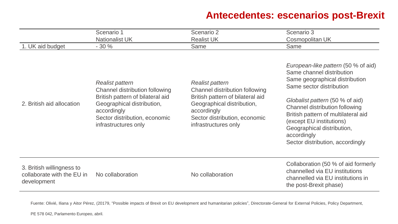# **Antecedentes: escenarios post-Brexit**

| 1. UK aid budget                                                       | Scenario 1<br><b>Nationalist UK</b><br>$-30%$                                                                                                                                                             | Scenario 2<br><b>Realist UK</b><br>Same                                                                                                                                                            | Scenario 3<br>Cosmopolitan UK<br>Same                                                                                                                                                                                                                                                                                                                   |
|------------------------------------------------------------------------|-----------------------------------------------------------------------------------------------------------------------------------------------------------------------------------------------------------|----------------------------------------------------------------------------------------------------------------------------------------------------------------------------------------------------|---------------------------------------------------------------------------------------------------------------------------------------------------------------------------------------------------------------------------------------------------------------------------------------------------------------------------------------------------------|
| 2. British aid allocation                                              | <b>Realist pattern</b><br><b>Channel distribution following</b><br>British pattern of bilateral aid<br>Geographical distribution,<br>accordingly<br>Sector distribution, economic<br>infrastructures only | <b>Realist pattern</b><br>Channel distribution following<br>British pattern of bilateral aid<br>Geographical distribution,<br>accordingly<br>Sector distribution, economic<br>infrastructures only | European-like pattern (50 % of aid)<br>Same channel distribution<br>Same geographical distribution<br>Same sector distribution<br>Globalist pattern (50 % of aid)<br>Channel distribution following<br>British pattern of multilateral aid<br>(except EU institutions)<br>Geographical distribution,<br>accordingly<br>Sector distribution, accordingly |
| 3. British willingness to<br>collaborate with the EU in<br>development | No collaboration                                                                                                                                                                                          | No collaboration                                                                                                                                                                                   | Collaboration (50 % of aid formerly<br>channelled via EU institutions<br>channelled via EU institutions in<br>the post-Brexit phase)                                                                                                                                                                                                                    |

Fuente: Olivié, Iliana y Aitor Pérez, (20179, "Possible impacts of Brexit on EU development and humanitarian policies", Directorate-General for External Policies, Policy Department,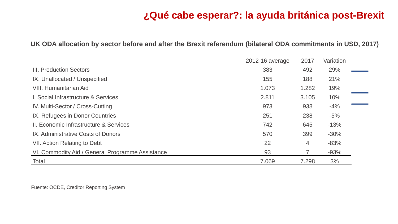| UK ODA allocation by sector before and after the Brexit referendum (bilateral ODA commitments in USD, 2017) |  |  |
|-------------------------------------------------------------------------------------------------------------|--|--|
|-------------------------------------------------------------------------------------------------------------|--|--|

|                                                  | 2012-16 average | 2017  | Variation |
|--------------------------------------------------|-----------------|-------|-----------|
| <b>III. Production Sectors</b>                   | 383             | 492   | 29%       |
| IX. Unallocated / Unspecified                    | 155             | 188   | 21%       |
| <b>VIII. Humanitarian Aid</b>                    | 1.073           | 1.282 | 19%       |
| I. Social Infrastructure & Services              | 2.811           | 3.105 | 10%       |
| IV. Multi-Sector / Cross-Cutting                 | 973             | 938   | $-4%$     |
| IX. Refugees in Donor Countries                  | 251             | 238   | $-5%$     |
| II. Economic Infrastructure & Services           | 742             | 645   | $-13%$    |
| IX. Administrative Costs of Donors               | 570             | 399   | $-30%$    |
| <b>VII. Action Relating to Debt</b>              | 22              | 4     | $-83%$    |
| VI. Commodity Aid / General Programme Assistance | 93              |       | $-93%$    |
| Total                                            | 7.069           | 7.298 | 3%        |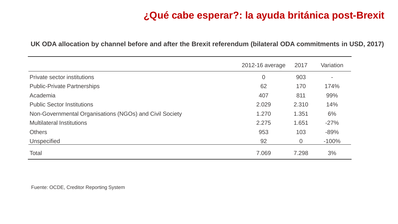|                                                         | 2012-16 average | 2017           | Variation                |
|---------------------------------------------------------|-----------------|----------------|--------------------------|
| <b>Private sector institutions</b>                      | $\overline{0}$  | 903            | $\overline{\phantom{a}}$ |
| <b>Public-Private Partnerships</b>                      | 62              | 170            | 174%                     |
| Academia                                                | 407             | 811            | 99%                      |
| <b>Public Sector Institutions</b>                       | 2.029           | 2.310          | 14%                      |
| Non-Governmental Organisations (NGOs) and Civil Society | 1.270           | 1.351          | 6%                       |
| <b>Multilateral Institutions</b>                        | 2.275           | 1.651          | $-27%$                   |
| <b>Others</b>                                           | 953             | 103            | $-89%$                   |
| <b>Unspecified</b>                                      | 92              | $\overline{0}$ | $-100%$                  |
| <b>Total</b>                                            | 7.069           | 7.298          | 3%                       |

**UK ODA allocation by channel before and after the Brexit referendum (bilateral ODA commitments in USD, 2017)**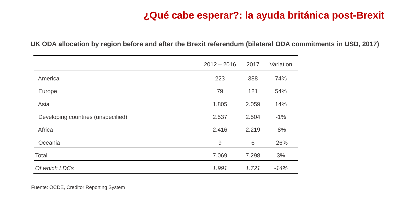|                                    | $2012 - 2016$ | 2017  | Variation |
|------------------------------------|---------------|-------|-----------|
| America                            | 223           | 388   | 74%       |
| Europe                             | 79            | 121   | 54%       |
| Asia                               | 1.805         | 2.059 | 14%       |
| Developing countries (unspecified) | 2.537         | 2.504 | $-1\%$    |
| Africa                             | 2.416         | 2.219 | $-8%$     |
| Oceania                            | 9             | 6     | $-26%$    |
| <b>Total</b>                       | 7.069         | 7.298 | 3%        |
| Of which LDCs                      | 1.991         | 1.721 | $-14%$    |

**UK ODA allocation by region before and after the Brexit referendum (bilateral ODA commitments in USD, 2017)**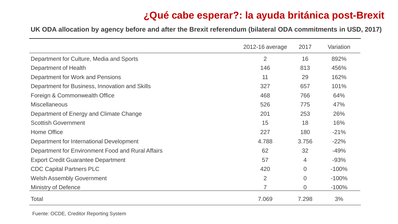**UK ODA allocation by agency before and after the Brexit referendum (bilateral ODA commitments in USD, 2017)** 

|                                                   | 2012-16 average | 2017           | Variation |
|---------------------------------------------------|-----------------|----------------|-----------|
| Department for Culture, Media and Sports          | $\overline{2}$  | 16             | 892%      |
| Department of Health                              | 146             | 813            | 456%      |
| Department for Work and Pensions                  | 11              | 29             | 162%      |
| Department for Business, Innovation and Skills    | 327             | 657            | 101%      |
| Foreign & Commonwealth Office                     | 468             | 766            | 64%       |
| <b>Miscellaneous</b>                              | 526             | 775            | 47%       |
| Department of Energy and Climate Change           | 201             | 253            | 26%       |
| <b>Scottish Government</b>                        | 15              | 18             | 16%       |
| <b>Home Office</b>                                | 227             | 180            | $-21%$    |
| Department for International Development          | 4.788           | 3.756          | $-22%$    |
| Department for Environment Food and Rural Affairs | 62              | 32             | $-49%$    |
| <b>Export Credit Guarantee Department</b>         | 57              | 4              | $-93%$    |
| <b>CDC Capital Partners PLC</b>                   | 420             | $\Omega$       | $-100%$   |
| <b>Welsh Assembly Government</b>                  | $\overline{2}$  | $\Omega$       | $-100%$   |
| <b>Ministry of Defence</b>                        |                 | $\overline{0}$ | $-100%$   |
| <b>Total</b>                                      | 7.069           | 7.298          | 3%        |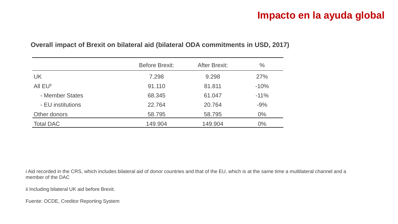## **Impacto en la ayuda global**

|                   | <b>Before Brexit:</b> | <b>After Brexit:</b> | $\frac{0}{0}$ |
|-------------------|-----------------------|----------------------|---------------|
| <b>UK</b>         | 7.298                 | 9.298                | 27%           |
| All EUii          | 91.110                | 81.811               | $-10%$        |
| - Member States   | 68.345                | 61.047               | $-11%$        |
| - EU institutions | 22.764                | 20.764               | $-9%$         |
| Other donors      | 58.795                | 58.795               | $0\%$         |
| <b>Total DAC</b>  | 149.904               | 149.904              | $0\%$         |

#### **Overall impact of Brexit on bilateral aid (bilateral ODA commitments in USD, 2017)**

i Aid recorded in the CRS, which includes bilateral aid of donor countries and that of the EU, which is at the same time a multilateral channel and a member of the DAC

ii Including bilateral UK aid before Brexit.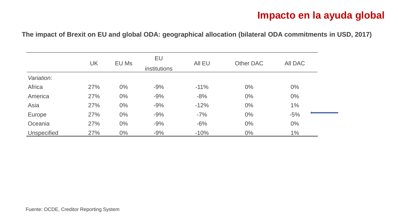#### **Impacto en la ayuda global**

**The impact of Brexit on EU and global ODA: geographical allocation (bilateral ODA commitments in USD, 2017)** 

|                    | UK  | EU Ms | EU<br>institutions | All EU | Other DAC | <b>AII DAC</b> |
|--------------------|-----|-------|--------------------|--------|-----------|----------------|
| Variation:         |     |       |                    |        |           |                |
| Africa             | 27% | $0\%$ | $-9%$              | $-11%$ | $0\%$     | $0\%$          |
| America            | 27% | $0\%$ | $-9%$              | $-8%$  | $0\%$     | $0\%$          |
| Asia               | 27% | $0\%$ | $-9%$              | $-12%$ | $0\%$     | 1%             |
| Europe             | 27% | $0\%$ | $-9%$              | $-7%$  | $0\%$     | $-5%$          |
| Oceania            | 27% | $0\%$ | $-9%$              | $-6%$  | $0\%$     | $0\%$          |
| <b>Unspecified</b> | 27% | $0\%$ | $-9%$              | $-10%$ | $0\%$     | 1%             |